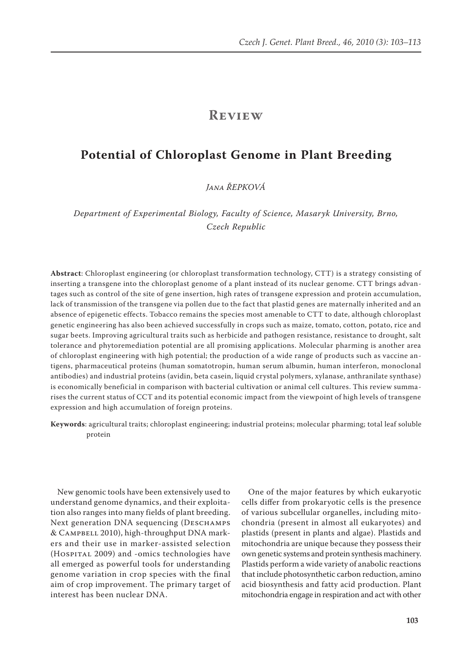## **Review**

# **Potential of Chloroplast Genome in Plant Breeding**

*Jana Řepková*

*Department of Experimental Biology, Faculty of Science, Masaryk University, Brno, Czech Republic*

**Abstract**: Chloroplast engineering (or chloroplast transformation technology, CTT) is a strategy consisting of inserting a transgene into the chloroplast genome of a plant instead of its nuclear genome. CTT brings advantages such as control of the site of gene insertion, high rates of transgene expression and protein accumulation, lack of transmission of the transgene via pollen due to the fact that plastid genes are maternally inherited and an absence of epigenetic effects. Tobacco remains the species most amenable to CTT to date, although chloroplast genetic engineering has also been achieved successfully in crops such as maize, tomato, cotton, potato, rice and sugar beets. Improving agricultural traits such as herbicide and pathogen resistance, resistance to drought, salt tolerance and phytoremediation potential are all promising applications. Molecular pharming is another area of chloroplast engineering with high potential; the production of a wide range of products such as vaccine antigens, pharmaceutical proteins (human somatotropin, human serum albumin, human interferon, monoclonal antibodies) and industrial proteins (avidin, beta casein, liquid crystal polymers, xylanase, anthranilate synthase) is economically beneficial in comparison with bacterial cultivation or animal cell cultures. This review summarises the current status of CCT and its potential economic impact from the viewpoint of high levels of transgene expression and high accumulation of foreign proteins.

**Keywords**: agricultural traits; chloroplast engineering; industrial proteins; molecular pharming; total leaf soluble protein

New genomic tools have been extensively used to understand genome dynamics, and their exploitation also ranges into many fields of plant breeding. Next generation DNA sequencing (DESCHAMPS & Campbell 2010), high-throughput DNA markers and their use in marker-assisted selection (Hospital 2009) and -omics technologies have all emerged as powerful tools for understanding genome variation in crop species with the final aim of crop improvement. The primary target of interest has been nuclear DNA.

One of the major features by which eukaryotic cells differ from prokaryotic cells is the presence of various subcellular organelles, including mitochondria (present in almost all eukaryotes) and plastids (present in plants and algae). Plastids and mitochondria are unique because they possess their own genetic systems and protein synthesis machinery. Plastids perform a wide variety of anabolic reactions that include photosynthetic carbon reduction, amino acid biosynthesis and fatty acid production. Plant mitochondria engage in respiration and act with other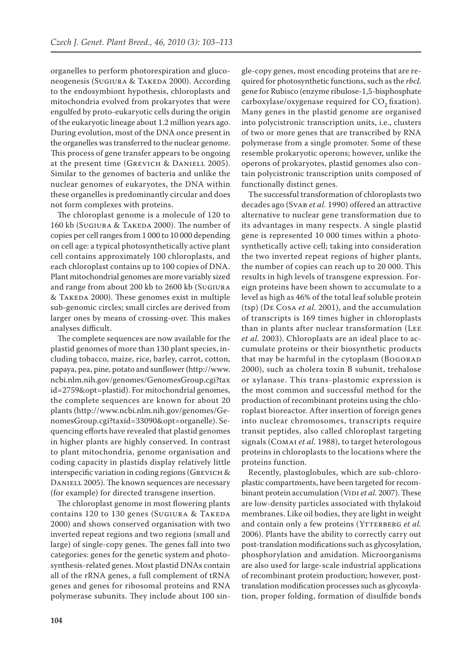organelles to perform photorespiration and gluconeogenesis (Sugiura & Takeda 2000). According to the endosymbiont hypothesis, chloroplasts and mitochondria evolved from prokaryotes that were engulfed by proto-eukaryotic cells during the origin of the eukaryotic lineage about 1.2 million years ago. During evolution, most of the DNA once present in the organelles was transferred to the nuclear genome. This process of gene transfer appears to be ongoing at the present time (Grevich & Daniell 2005). Similar to the genomes of bacteria and unlike the nuclear genomes of eukaryotes, the DNA within these organelles is predominantly circular and does not form complexes with proteins.

The chloroplast genome is a molecule of 120 to 160 kb (Sugiura & Takeda 2000). The number of copies per cell ranges from 1 000 to 10 000 depending on cell age: a typical photosynthetically active plant cell contains approximately 100 chloroplasts, and each chloroplast contains up to 100 copies of DNA. Plant mitochondrial genomes are more variably sized and range from about 200 kb to 2600 kb (Sugiura & Takeda 2000). These genomes exist in multiple sub-genomic circles; small circles are derived from larger ones by means of crossing-over. This makes analyses difficult.

The complete sequences are now available for the plastid genomes of more than 130 plant species, including tobacco, maize, rice, barley, carrot, cotton, papaya, pea, pine, potato and sunflower (http://www. ncbi.nlm.nih.gov/genomes/GenomesGroup.cgi?tax id=2759&opt=plastid). For mitochondrial genomes, the complete sequences are known for about 20 plants (http://www.ncbi.nlm.nih.gov/genomes/GenomesGroup.cgi?taxid=33090&opt=organelle). Sequencing efforts have revealed that plastid genomes in higher plants are highly conserved. In contrast to plant mitochondria, genome organisation and coding capacity in plastids display relatively little interspecific variation in coding regions (Grevich & DANIELL 2005). The known sequences are necessary (for example) for directed transgene insertion.

The chloroplast genome in most flowering plants contains 120 to 130 genes (SUGIURA & TAKEDA 2000) and shows conserved organisation with two inverted repeat regions and two regions (small and large) of single-copy genes. The genes fall into two categories: genes for the genetic system and photosynthesis-related genes. Most plastid DNAs contain all of the rRNA genes, a full complement of tRNA genes and genes for ribosomal proteins and RNA polymerase subunits. They include about 100 sin-

gle-copy genes, most encoding proteins that are required for photosynthetic functions, such as the *rbcL* gene for Rubisco (enzyme ribulose-1,5-bisphosphate carboxylase/oxygenase required for  $CO<sub>2</sub>$  fixation). Many genes in the plastid genome are organised into polycistronic transcription units, i.e., clusters of two or more genes that are transcribed by RNA polymerase from a single promoter. Some of these resemble prokaryotic operons; however, unlike the operons of prokaryotes, plastid genomes also contain polycistronic transcription units composed of functionally distinct genes.

The successful transformation of chloroplasts two decades ago (Svab *et al.* 1990) offered an attractive alternative to nuclear gene transformation due to its advantages in many respects. A single plastid gene is represented 10 000 times within a photosynthetically active cell; taking into consideration the two inverted repeat regions of higher plants, the number of copies can reach up to 20 000. This results in high levels of transgene expression. Foreign proteins have been shown to accumulate to a level as high as 46% of the total leaf soluble protein (tsp) (De Cosa *et al.* 2001), and the accumulation of transcripts is 169 times higher in chloroplasts than in plants after nuclear transformation (Lee *et al.* 2003). Chloroplasts are an ideal place to accumulate proteins or their biosynthetic products that may be harmful in the cytoplasm (BOGORAD 2000), such as cholera toxin B subunit, trehalose or xylanase. This trans-plastomic expression is the most common and successful method for the production of recombinant proteins using the chloroplast bioreactor. After insertion of foreign genes into nuclear chromosomes, transcripts require transit peptides, also called chloroplast targeting signals (Comai *et al.* 1988), to target heterologous proteins in chloroplasts to the locations where the proteins function.

Recently, plastoglobules, which are sub-chloroplastic compartments, have been targeted for recombinant protein accumulation (VIDI *et al.* 2007). These are low-density particles associated with thylakoid membranes. Like oil bodies, they are light in weight and contain only a few proteins (YTTERBERG *et al.* 2006). Plants have the ability to correctly carry out post-translation modifications such as glycosylation, phosphorylation and amidation. Microorganisms are also used for large-scale industrial applications of recombinant protein production; however, posttranslation modification processes such as glycosylation, proper folding, formation of disulfide bonds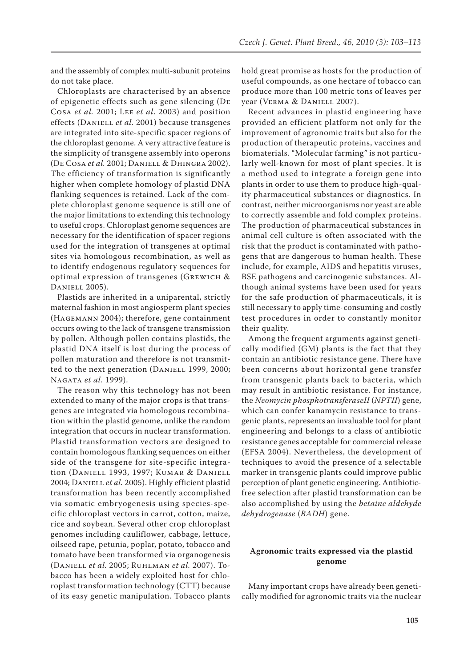and the assembly of complex multi-subunit proteins do not take place.

Chloroplasts are characterised by an absence of epigenetic effects such as gene silencing (De Cosa *et al.* 2001; Lee *et al*. 2003) and position effects (Daniell *et al.* 2001) because transgenes are integrated into site-specific spacer regions of the chloroplast genome. A very attractive feature is the simplicity of transgene assembly into operons (De Cosa *et al.* 2001; Daniell & Dhingra 2002). The efficiency of transformation is significantly higher when complete homology of plastid DNA flanking sequences is retained. Lack of the complete chloroplast genome sequence is still one of the major limitations to extending this technology to useful crops. Chloroplast genome sequences are necessary for the identification of spacer regions used for the integration of transgenes at optimal sites via homologous recombination, as well as to identify endogenous regulatory sequences for optimal expression of transgenes (Grewich & Daniell 2005).

Plastids are inherited in a uniparental, strictly maternal fashion in most angiosperm plant species (Hagemann 2004); therefore, gene containment occurs owing to the lack of transgene transmission by pollen. Although pollen contains plastids, the plastid DNA itself is lost during the process of pollen maturation and therefore is not transmitted to the next generation (DANIELL 1999, 2000; Nagata *et al.* 1999).

The reason why this technology has not been extended to many of the major crops is that transgenes are integrated via homologous recombination within the plastid genome, unlike the random integration that occurs in nuclear transformation. Plastid transformation vectors are designed to contain homologous flanking sequences on either side of the transgene for site-specific integration (Daniell 1993, 1997; Kumar & Daniell 2004; Daniell *et al.* 2005). Highly efficient plastid transformation has been recently accomplished via somatic embryogenesis using species-specific chloroplast vectors in carrot, cotton, maize, rice and soybean. Several other crop chloroplast genomes including cauliflower, cabbage, lettuce, oilseed rape, petunia, poplar, potato, tobacco and tomato have been transformed via organogenesis (Daniell *et al.* 2005; Ruhlman *et al.* 2007). Tobacco has been a widely exploited host for chloroplast transformation technology (CTT) because of its easy genetic manipulation. Tobacco plants hold great promise as hosts for the production of useful compounds, as one hectare of tobacco can produce more than 100 metric tons of leaves per year (Verma & Daniell 2007).

Recent advances in plastid engineering have provided an efficient platform not only for the improvement of agronomic traits but also for the production of therapeutic proteins, vaccines and biomaterials. "Molecular farming" is not particularly well-known for most of plant species. It is a method used to integrate a foreign gene into plants in order to use them to produce high-quality pharmaceutical substances or diagnostics. In contrast, neither microorganisms nor yeast are able to correctly assemble and fold complex proteins. The production of pharmaceutical substances in animal cell culture is often associated with the risk that the product is contaminated with pathogens that are dangerous to human health. These include, for example, AIDS and hepatitis viruses, BSE pathogens and carcinogenic substances. Although animal systems have been used for years for the safe production of pharmaceuticals, it is still necessary to apply time-consuming and costly test procedures in order to constantly monitor their quality.

Among the frequent arguments against genetically modified (GM) plants is the fact that they contain an antibiotic resistance gene. There have been concerns about horizontal gene transfer from transgenic plants back to bacteria, which may result in antibiotic resistance. For instance, the *Neomycin phosphotransferaseII* (*NPTII*) gene, which can confer kanamycin resistance to transgenic plants, represents an invaluable tool for plant engineering and belongs to a class of antibiotic resistance genes acceptable for commercial release (EFSA 2004). Nevertheless, the development of techniques to avoid the presence of a selectable marker in transgenic plants could improve public perception of plant genetic engineering. Antibioticfree selection after plastid transformation can be also accomplished by using the *betaine aldehyde dehydrogenase* (*BADH*) gene.

## **Agronomic traits expressed via the plastid genome**

Many important crops have already been genetically modified for agronomic traits via the nuclear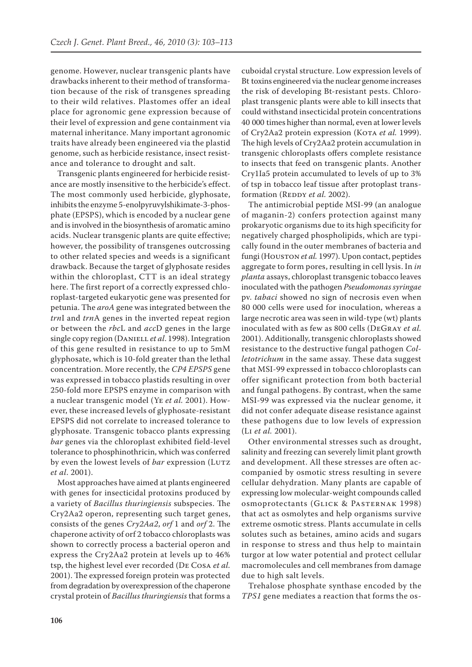genome. However, nuclear transgenic plants have drawbacks inherent to their method of transformation because of the risk of transgenes spreading to their wild relatives. Plastomes offer an ideal place for agronomic gene expression because of their level of expression and gene containment via maternal inheritance. Many important agronomic traits have already been engineered via the plastid genome, such as herbicide resistance, insect resistance and tolerance to drought and salt.

Transgenic plants engineered for herbicide resistance are mostly insensitive to the herbicide's effect. The most commonly used herbicide, glyphosate, inhibits the enzyme 5-enolpyruvylshikimate-3-phosphate (EPSPS), which is encoded by a nuclear gene and is involved in the biosynthesis of aromatic amino acids. Nuclear transgenic plants are quite effective; however, the possibility of transgenes outcrossing to other related species and weeds is a significant drawback. Because the target of glyphosate resides within the chloroplast, CTT is an ideal strategy here. The first report of a correctly expressed chloroplast-targeted eukaryotic gene was presented for petunia. The *aroA* gene was integrated between the *trn*I and *trn*A genes in the inverted repeat region or between the *rbc*L and *acc*D genes in the large single copy region (DANIELL et al. 1998). Integration of this gene resulted in resistance to up to 5mM glyphosate, which is 10-fold greater than the lethal concentration. More recently, the *CP4 EPSPS* gene was expressed in tobacco plastids resulting in over 250-fold more EPSPS enzyme in comparison with a nuclear transgenic model (Ye *et al.* 2001). However, these increased levels of glyphosate-resistant EPSPS did not correlate to increased tolerance to glyphosate. Transgenic tobacco plants expressing *bar* genes via the chloroplast exhibited field-level tolerance to phosphinothricin, which was conferred by even the lowest levels of *bar* expression (LUTZ *et al*. 2001).

Most approaches have aimed at plants engineered with genes for insecticidal protoxins produced by a variety of *Bacillus thuringiensis* subspecies. The Cry2Aa2 operon, representing such target genes, consists of the genes *Cry2Aa2*, *orf* 1 and *orf* 2. The chaperone activity of orf 2 tobacco chloroplasts was shown to correctly process a bacterial operon and express the Cry2Aa2 protein at levels up to 46% tsp, the highest level ever recorded (De Cosa *et al.* 2001). The expressed foreign protein was protected from degradation by overexpression of the chaperone crystal protein of *Bacillus thuringiensis* that forms a

cuboidal crystal structure. Low expression levels of Bt toxins engineered via the nuclear genome increases the risk of developing Bt-resistant pests. Chloroplast transgenic plants were able to kill insects that could withstand insecticidal protein concentrations 40 000 times higher than normal, even at lower levels of Cry2Aa2 protein expression (KOTA et al. 1999). The high levels of Cry2Aa2 protein accumulation in transgenic chloroplasts offers complete resistance to insects that feed on transgenic plants. Another Cry1Ia5 protein accumulated to levels of up to 3% of tsp in tobacco leaf tissue after protoplast transformation (REDDY et al. 2002).

The antimicrobial peptide MSI-99 (an analogue of maganin-2) confers protection against many prokaryotic organisms due to its high specificity for negatively charged phospholipids, which are typically found in the outer membranes of bacteria and fungi (Houston et al. 1997). Upon contact, peptides aggregate to form pores, resulting in cell lysis. In *in planta* assays, chloroplast transgenic tobacco leaves inoculated with the pathogen *Pseudomonassyringae* pv. *tabaci* showed no sign of necrosis even when 80 000 cells were used for inoculation, whereas a large necrotic area was seen in wild-type (wt) plants inoculated with as few as 800 cells (DeGray *et al.* 2001). Additionally, transgenic chloroplasts showed resistance to the destructive fungal pathogen *Colletotrichum* in the same assay. These data suggest that MSI-99 expressed in tobacco chloroplasts can offer significant protection from both bacterial and fungal pathogens. By contrast, when the same MSI-99 was expressed via the nuclear genome, it did not confer adequate disease resistance against these pathogens due to low levels of expression (Li *et al.* 2001).

Other environmental stresses such as drought, salinity and freezing can severely limit plant growth and development. All these stresses are often accompanied by osmotic stress resulting in severe cellular dehydration. Many plants are capable of expressing low molecular-weight compounds called osmoprotectants (Glick & Pasternak 1998) that act as osmolytes and help organisms survive extreme osmotic stress. Plants accumulate in cells solutes such as betaines, amino acids and sugars in response to stress and thus help to maintain turgor at low water potential and protect cellular macromolecules and cell membranes from damage due to high salt levels.

Trehalose phosphate synthase encoded by the *TPS1* gene mediates a reaction that forms the os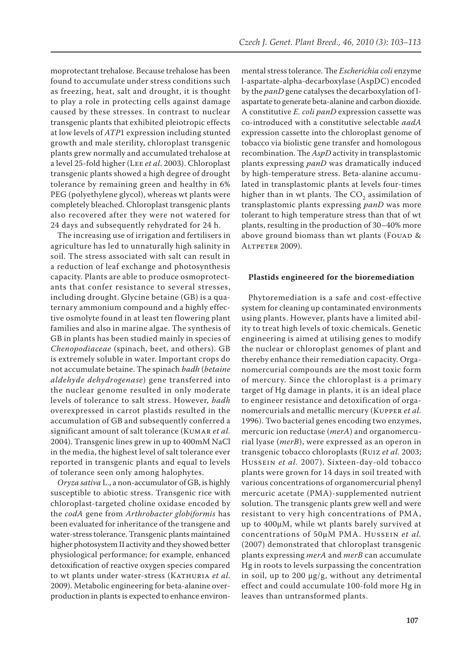moprotectant trehalose. Because trehalose has been found to accumulate under stress conditions such as freezing, heat, salt and drought, it is thought to play a role in protecting cells against damage caused by these stresses. In contrast to nuclear transgenic plants that exhibited pleiotropic effects at low levels of *ATP*1 expression including stunted growth and male sterility, chloroplast transgenic plants grew normally and accumulated trehalose at a level 25-fold higher (Lee *et al*. 2003). Chloroplast transgenic plants showed a high degree of drought tolerance by remaining green and healthy in 6% PEG (polyethylene glycol), whereas wt plants were completely bleached. Chloroplast transgenic plants also recovered after they were not watered for 24 days and subsequently rehydrated for 24 h.

The increasing use of irrigation and fertilisers in agriculture has led to unnaturally high salinity in soil. The stress associated with salt can result in a reduction of leaf exchange and photosynthesis capacity. Plants are able to produce osmoprotectants that confer resistance to several stresses, including drought. Glycine betaine (GB) is a quaternary ammonium compound and a highly effective osmolyte found in at least ten flowering plant families and also in marine algae. The synthesis of GB in plants has been studied mainly in species of *Chenopodiaceae* (spinach, beet, and others). GB is extremely soluble in water. Important crops do not accumulate betaine. The spinach *badh* (*betaine aldehyde dehydrogenase*) gene transferred into the nuclear genome resulted in only moderate levels of tolerance to salt stress. However, *badh* overexpressed in carrot plastids resulted in the accumulation of GB and subsequently conferred a significant amount of salt tolerance (KUMAR et al. 2004). Transgenic lines grew in up to 400mM NaCl in the media, the highest level of salt tolerance ever reported in transgenic plants and equal to levels of tolerance seen only among halophytes.

*Oryza sativa* L., a non-accumulator of GB, is highly susceptible to abiotic stress. Transgenic rice with chloroplast-targeted choline oxidase encoded by the *codA* gene from *Arthrobacter globiformis* has been evaluated for inheritance of the transgene and water-stress tolerance. Transgenic plants maintained higher photosystem II activity and they showed better physiological performance; for example, enhanced detoxification of reactive oxygen species compared to wt plants under water-stress (Kathuria *et al*. 2009). Metabolic engineering for beta-alanine overproduction in plants is expected to enhance environ-

mental stress tolerance. The *Escherichia coli* enzyme l-aspartate-alpha-decarboxylase (AspDC) encoded by the *panD* gene catalyses the decarboxylation of laspartate to generate beta-alanine and carbon dioxide. A constitutive *E. coli panD* expression cassette was co-introduced with a constitutive selectable *aadA* expression cassette into the chloroplast genome of tobacco via biolistic gene transfer and homologous recombination. The *AspD* activity in transplastomic plants expressing *panD* was dramatically induced by high-temperature stress. Beta-alanine accumulated in transplastomic plants at levels four-times higher than in wt plants. The  $CO<sub>2</sub>$  assimilation of transplastomic plants expressing *panD* was more tolerant to high temperature stress than that of wt plants, resulting in the production of 30–40% more above ground biomass than wt plants (FOUAD & ALTPETER 2009).

#### **Plastids engineered for the bioremediation**

Phytoremediation is a safe and cost-effective system for cleaning up contaminated environments using plants. However, plants have a limited ability to treat high levels of toxic chemicals. Genetic engineering is aimed at utilising genes to modify the nuclear or chloroplast genomes of plant and thereby enhance their remediation capacity. Organomercurial compounds are the most toxic form of mercury. Since the chloroplast is a primary target of Hg damage in plants, it is an ideal place to engineer resistance and detoxification of organomercurials and metallic mercury (Kupper *et al.* 1996). Two bacterial genes encoding two enzymes, mercuric ion reductase (*merA*) and organomercurial lyase (*merB*), were expressed as an operon in transgenic tobacco chloroplasts (Ruiz *et al.* 2003; Hussein *et al.* 2007). Sixteen-day-old tobacco plants were grown for 14 days in soil treated with various concentrations of organomercurial phenyl mercuric acetate (PMA)-supplemented nutrient solution. The transgenic plants grew well and were resistant to very high concentrations of PMA, up to 400μM, while wt plants barely survived at concentrations of 50μM PMA. Hussein *et al.* (2007) demonstrated that chloroplast transgenic plants expressing *merA* and *merB* can accumulate Hg in roots to levels surpassing the concentration in soil, up to 200 μg/g, without any detrimental effect and could accumulate 100-fold more Hg in leaves than untransformed plants.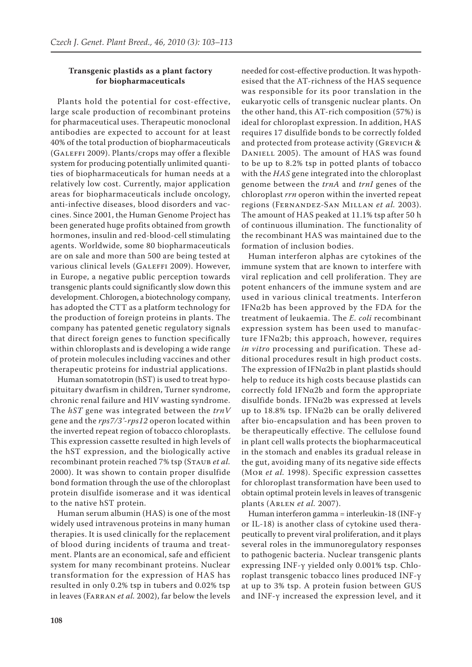#### **Transgenic plastids as a plant factory for biopharmaceuticals**

Plants hold the potential for cost-effective, large scale production of recombinant proteins for pharmaceutical uses. Therapeutic monoclonal antibodies are expected to account for at least 40% of the total production of biopharmaceuticals (Galeffi 2009). Plants/crops may offer a flexible system for producing potentially unlimited quantities of biopharmaceuticals for human needs at a relatively low cost. Currently, major application areas for biopharmaceuticals include oncology, anti-infective diseases, blood disorders and vaccines. Since 2001, the Human Genome Project has been generated huge profits obtained from growth hormones, insulin and red-blood-cell stimulating agents. Worldwide, some 80 biopharmaceuticals are on sale and more than 500 are being tested at various clinical levels (GALEFFI 2009). However, in Europe, a negative public perception towards transgenic plants could significantly slow down this development. Chlorogen, a biotechnology company, has adopted the CTT as a platform technology for the production of foreign proteins in plants. The company has patented genetic regulatory signals that direct foreign genes to function specifically within chloroplasts and is developing a wide range of protein molecules including vaccines and other therapeutic proteins for industrial applications.

Human somatotropin (hST) is used to treat hypopituitary dwarfism in children, Turner syndrome, chronic renal failure and HIV wasting syndrome. The *hST* gene was integrated between the *trnV* gene and the *rps7/3'-rps12* operon located within the inverted repeat region of tobacco chloroplasts. This expression cassette resulted in high levels of the hST expression, and the biologically active recombinant protein reached 7% tsp (STAUB et al. 2000). It was shown to contain proper disulfide bond formation through the use of the chloroplast protein disulfide isomerase and it was identical to the native hST protein.

Human serum albumin (HAS) is one of the most widely used intravenous proteins in many human therapies. It is used clinically for the replacement of blood during incidents of trauma and treatment. Plants are an economical, safe and efficient system for many recombinant proteins. Nuclear transformation for the expression of HAS has resulted in only 0.2% tsp in tubers and 0.02% tsp in leaves (Farran *et al.* 2002), far below the levels

needed for cost-effective production. It was hypothesised that the AT-richness of the HAS sequence was responsible for its poor translation in the eukaryotic cells of transgenic nuclear plants. On the other hand, this AT-rich composition (57%) is ideal for chloroplast expression. In addition, HAS requires 17 disulfide bonds to be correctly folded and protected from protease activity (GREVICH & DANIELL 2005). The amount of HAS was found to be up to 8.2% tsp in potted plants of tobacco with the *HAS* gene integrated into the chloroplast genome between the *trnA* and *trnI* genes of the chloroplast *rrn* operon within the inverted repeat regions (Fernandez-San Millan *et al.* 2003). The amount of HAS peaked at 11.1% tsp after 50 h of continuous illumination. The functionality of the recombinant HAS was maintained due to the formation of inclusion bodies.

Human interferon alphas are cytokines of the immune system that are known to interfere with viral replication and cell proliferation. They are potent enhancers of the immune system and are used in various clinical treatments. Interferon IFN $\alpha$ 2b has been approved by the FDA for the treatment of leukaemia. The *E. coli* recombinant expression system has been used to manufacture IFNα2b; this approach, however, requires *in vitro* processing and purification. These additional procedures result in high product costs. The expression of IFN $\alpha$ 2b in plant plastids should help to reduce its high costs because plastids can correctly fold IFNα2b and form the appropriate disulfide bonds. IFNα2b was expressed at levels up to 18.8% tsp. IFNα2b can be orally delivered after bio-encapsulation and has been proven to be therapeutically effective. The cellulose found in plant cell walls protects the biopharmaceutical in the stomach and enables its gradual release in the gut, avoiding many of its negative side effects (Mor *et al.* 1998). Specific expression cassettes for chloroplast transformation have been used to obtain optimal protein levels in leaves of transgenic plants (Arlen *et al.* 2007).

Human interferon gamma = interleukin-18 (INF-γ or IL-18) is another class of cytokine used therapeutically to prevent viral proliferation, and it plays several roles in the immunoregulatory responses to pathogenic bacteria. Nuclear transgenic plants expressing INF-γ yielded only 0.001% tsp. Chloroplast transgenic tobacco lines produced INF-γ at up to 3% tsp. A protein fusion between GUS and INF-γ increased the expression level, and it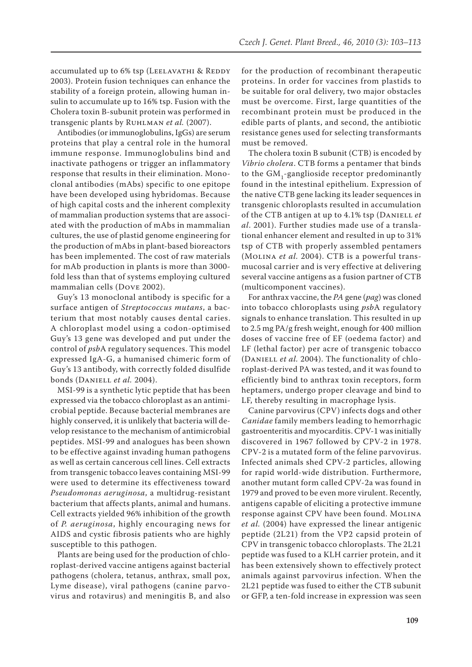accumulated up to 6% tsp (LEELAVATHI & REDDY 2003). Protein fusion techniques can enhance the stability of a foreign protein, allowing human insulin to accumulate up to 16% tsp. Fusion with the Cholera toxin B-subunit protein was performed in transgenic plants by Ruhlman *et al.* (2007).

Antibodies (or immunoglobulins, IgGs) are serum proteins that play a central role in the humoral immune response. Immunoglobulins bind and inactivate pathogens or trigger an inflammatory response that results in their elimination. Monoclonal antibodies (mAbs) specific to one epitope have been developed using hybridomas. Because of high capital costs and the inherent complexity of mammalian production systems that are associated with the production of mAbs in mammalian cultures, the use of plastid genome engineering for the production of mAbs in plant-based bioreactors has been implemented. The cost of raw materials for mAb production in plants is more than 3000 fold less than that of systems employing cultured mammalian cells (Dove 2002).

Guy's 13 monoclonal antibody is specific for a surface antigen of *Streptococcus mutans*, a bacterium that most notably causes dental caries. A chloroplast model using a codon-optimised Guy's 13 gene was developed and put under the control of *psb*A regulatory sequences. This model expressed IgA-G, a humanised chimeric form of Guy's 13 antibody, with correctly folded disulfide bonds (Daniell *et al.* 2004).

MSI-99 is a synthetic lytic peptide that has been expressed via the tobacco chloroplast as an antimicrobial peptide. Because bacterial membranes are highly conserved, it is unlikely that bacteria will develop resistance to the mechanism of antimicrobial peptides. MSI-99 and analogues has been shown to be effective against invading human pathogens as well as certain cancerous cell lines. Cell extracts from transgenic tobacco leaves containing MSI-99 were used to determine its effectiveness toward *Pseudomonas aeruginosa*, a multidrug-resistant bacterium that affects plants, animal and humans. Cell extracts yielded 96% inhibition of the growth of *P. aeruginosa*, highly encouraging news for AIDS and cystic fibrosis patients who are highly susceptible to this pathogen.

Plants are being used for the production of chloroplast-derived vaccine antigens against bacterial pathogens (cholera, tetanus, anthrax, small pox, Lyme disease), viral pathogens (canine parvovirus and rotavirus) and meningitis B, and also for the production of recombinant therapeutic proteins. In order for vaccines from plastids to be suitable for oral delivery, two major obstacles must be overcome. First, large quantities of the recombinant protein must be produced in the edible parts of plants, and second, the antibiotic resistance genes used for selecting transformants must be removed.

The cholera toxin B subunit (CTB) is encoded by *Vibrio cholera*. CTB forms a pentamer that binds to the  $GM<sub>1</sub>$ -ganglioside receptor predominantly found in the intestinal epithelium. Expression of the native CTB gene lacking its leader sequences in transgenic chloroplasts resulted in accumulation of the CTB antigen at up to 4.1% tsp (Daniell *et al*. 2001). Further studies made use of a translational enhancer element and resulted in up to 31% tsp of CTB with properly assembled pentamers (Molina *et al.* 2004). CTB is a powerful transmucosal carrier and is very effective at delivering several vaccine antigens as a fusion partner of CTB (multicomponent vaccines).

For anthrax vaccine, the *PA* gene (*pag*) was cloned into tobacco chloroplasts using *psb*A regulatory signals to enhance translation. This resulted in up to 2.5 mg PA/g fresh weight, enough for 400 million doses of vaccine free of EF (oedema factor) and LF (lethal factor) per acre of transgenic tobacco (DANIELL *et al.* 2004). The functionality of chloroplast-derived PA was tested, and it was found to efficiently bind to anthrax toxin receptors, form heptamers, undergo proper cleavage and bind to LF, thereby resulting in macrophage lysis.

Canine parvovirus (CPV) infects dogs and other *Canidae* family members leading to hemorrhagic gastroenteritis and myocarditis. CPV-1 was initially discovered in 1967 followed by CPV-2 in 1978. CPV-2 is a mutated form of the feline parvovirus. Infected animals shed CPV-2 particles, allowing for rapid world-wide distribution. Furthermore, another mutant form called CPV-2a was found in 1979 and proved to be even more virulent. Recently, antigens capable of eliciting a protective immune response against CPV have been found. Molina *et al.* (2004) have expressed the linear antigenic peptide (2L21) from the VP2 capsid protein of CPV in transgenic tobacco chloroplasts. The 2L21 peptide was fused to a KLH carrier protein, and it has been extensively shown to effectively protect animals against parvovirus infection. When the 2L21 peptide was fused to either the CTB subunit or GFP, a ten-fold increase in expression was seen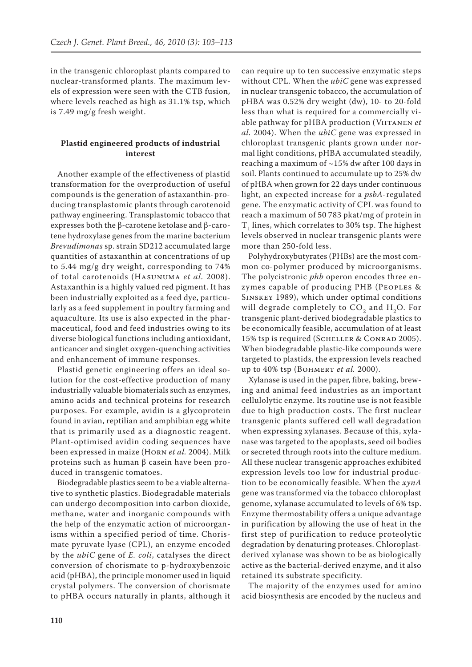in the transgenic chloroplast plants compared to nuclear-transformed plants. The maximum levels of expression were seen with the CTB fusion, where levels reached as high as 31.1% tsp, which is 7.49 mg/g fresh weight.

## **Plastid engineered products of industrial interest**

Another example of the effectiveness of plastid transformation for the overproduction of useful compounds is the generation of astaxanthin-producing transplastomic plants through carotenoid pathway engineering. Transplastomic tobacco that expresses both the β-carotene ketolase and β-carotene hydroxylase genes from the marine bacterium *Brevudimonas* sp. strain SD212 accumulated large quantities of astaxanthin at concentrations of up to 5.44 mg/g dry weight, corresponding to 74% of total carotenoids (Hasunuma *et al.* 2008). Astaxanthin is a highly valued red pigment. It has been industrially exploited as a feed dye, particularly as a feed supplement in poultry farming and aquaculture. Its use is also expected in the pharmaceutical, food and feed industries owing to its diverse biological functions including antioxidant, anticancer and singlet oxygen-quenching activities and enhancement of immune responses.

Plastid genetic engineering offers an ideal solution for the cost-effective production of many industrially valuable biomaterials such as enzymes, amino acids and technical proteins for research purposes. For example, avidin is a glycoprotein found in avian, reptilian and amphibian egg white that is primarily used as a diagnostic reagent. Plant-optimised avidin coding sequences have been expressed in maize (Horn *et al.* 2004). Milk proteins such as human β casein have been produced in transgenic tomatoes.

Biodegradable plastics seem to be a viable alternative to synthetic plastics. Biodegradable materials can undergo decomposition into carbon dioxide, methane, water and inorganic compounds with the help of the enzymatic action of microorganisms within a specified period of time. Chorismate pyruvate lyase (CPL), an enzyme encoded by the *ubiC* gene of *E. coli*, catalyses the direct conversion of chorismate to p-hydroxybenzoic acid (pHBA), the principle monomer used in liquid crystal polymers. The conversion of chorismate to pHBA occurs naturally in plants, although it

can require up to ten successive enzymatic steps without CPL. When the *ubiC* gene was expressed in nuclear transgenic tobacco, the accumulation of pHBA was 0.52% dry weight (dw), 10- to 20-fold less than what is required for a commercially viable pathway for pHBA production (VIITANEN et *al.* 2004). When the *ubiC* gene was expressed in chloroplast transgenic plants grown under normal light conditions, pHBA accumulated steadily, reaching a maximum of  $\sim$ 15% dw after 100 days in soil. Plants continued to accumulate up to 25% dw of pHBA when grown for 22 days under continuous light, an expected increase for a *psbA*-regulated gene. The enzymatic activity of CPL was found to reach a maximum of 50 783 pkat/mg of protein in  $T<sub>1</sub>$  lines, which correlates to 30% tsp. The highest levels observed in nuclear transgenic plants were more than 250-fold less.

Polyhydroxybutyrates (PHBs) are the most common co-polymer produced by microorganisms. The polycistronic *phb* operon encodes three enzymes capable of producing PHB (Peoples & Sinskey 1989), which under optimal conditions will degrade completely to  $CO<sub>2</sub>$  and  $H<sub>2</sub>O$ . For transgenic plant-derived biodegradable plastics to be economically feasible, accumulation of at least 15% tsp is required (SCHELLER & CONRAD 2005). When biodegradable plastic-like compounds were targeted to plastids, the expression levels reached up to 40% tsp (Bohmert *et al.* 2000).

Xylanase is used in the paper, fibre, baking, brewing and animal feed industries as an important cellulolytic enzyme. Its routine use is not feasible due to high production costs. The first nuclear transgenic plants suffered cell wall degradation when expressing xylanases. Because of this, xylanase was targeted to the apoplasts, seed oil bodies or secreted through roots into the culture medium. All these nuclear transgenic approaches exhibited expression levels too low for industrial production to be economically feasible. When the *xynA* gene was transformed via the tobacco chloroplast genome, xylanase accumulated to levels of 6% tsp. Enzyme thermostability offers a unique advantage in purification by allowing the use of heat in the first step of purification to reduce proteolytic degradation by denaturing proteases. Chloroplastderived xylanase was shown to be as biologically active as the bacterial-derived enzyme, and it also retained its substrate specificity.

The majority of the enzymes used for amino acid biosynthesis are encoded by the nucleus and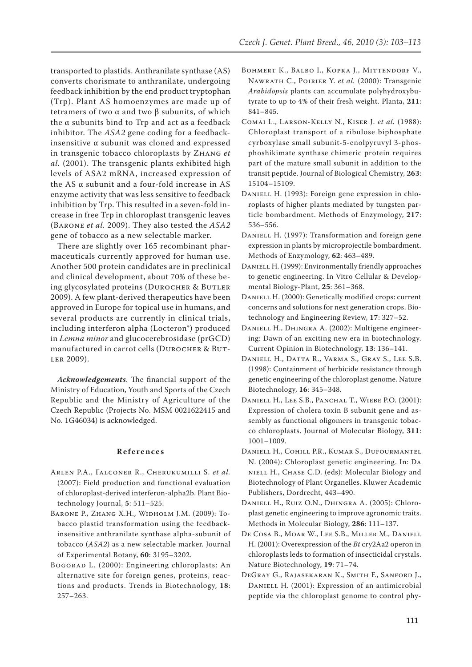transported to plastids. Anthranilate synthase (AS) converts chorismate to anthranilate, undergoing feedback inhibition by the end product tryptophan (Trp). Plant AS homoenzymes are made up of tetramers of two α and two β subunits, of which the α subunits bind to Trp and act as a feedback inhibitor. The *ASA2* gene coding for a feedbackinsensitive α subunit was cloned and expressed in transgenic tobacco chloroplasts by Zhang *et al.* (2001). The transgenic plants exhibited high levels of ASA2 mRNA, increased expression of the AS α subunit and a four-fold increase in AS enzyme activity that was less sensitive to feedback inhibition by Trp. This resulted in a seven-fold increase in free Trp in chloroplast transgenic leaves (Barone *et al.* 2009). They also tested the *ASA2* gene of tobacco as a new selectable marker.

There are slightly over 165 recombinant pharmaceuticals currently approved for human use. Another 500 protein candidates are in preclinical and clinical development, about 70% of these being glycosylated proteins (DUROCHER & BUTLER 2009). A few plant-derived therapeutics have been approved in Europe for topical use in humans, and several products are currently in clinical trials, including interferon alpha (Locteron®) produced in *Lemna minor* and glucocerebrosidase (prGCD) manufactured in carrot cells (DUROCHER & BUT-LER 2009).

*Acknowledgements*. The financial support of the Ministry of Education, Youth and Sports of the Czech Republic and the Ministry of Agriculture of the Czech Republic (Projects No. MSM 0021622415 and No. 1G46034) is acknowledged.

#### **R e f e r e n c e s**

- Arlen P.A., Falconer R., Cherukumilli S. *et al.* (2007): Field production and functional evaluation of chloroplast-derived interferon-alpha2b. Plant Biotechnology Journal, **5**: 511–525.
- Barone P., Zhang X.H., Widholm J.M. (2009): Tobacco plastid transformation using the feedbackinsensitive anthranilate synthase alpha-subunit of tobacco (*ASA2*) as a new selectable marker. Journal of Experimental Botany, **60**: 3195–3202.
- Bogorad L. (2000): Engineering chloroplasts: An alternative site for foreign genes, proteins, reactions and products. Trends in Biotechnology, **18**: 257–263.
- BOHMERT K., BALBO I., KOPKA J., MITTENDORF V., Nawrath C., Poirier Y. *et al.* (2000): Transgenic *Arabidopsis* plants can accumulate polyhydroxybutyrate to up to 4% of their fresh weight. Planta, **211**: 841–845.
- Comai L., Larson-Kelly N., Kiser J. *et al.* (1988): Chloroplast transport of a ribulose biphosphate cyrboxylase small subunit-5-enolpyruvyl 3-phosphoshikimate synthase chimeric protein requires part of the mature small subunit in addition to the transit peptide. Journal of Biological Chemistry, **263**: 15104–15109.
- DANIELL H. (1993): Foreign gene expression in chloroplasts of higher plants mediated by tungsten particle bombardment. Methods of Enzymology, **217**: 536–556.
- DANIELL H. (1997): Transformation and foreign gene expression in plants by microprojectile bombardment. Methods of Enzymology, **62**: 463–489.
- DANIELL H. (1999): Environmentally friendly approaches to genetic engineering. In Vitro Cellular & Developmental Biology-Plant, **25**: 361–368.
- DANIELL H. (2000): Genetically modified crops: current concerns and solutions for next generation crops. Biotechnology and Engineering Review, **17**: 327–52.
- Daniell H., Dhingra A. (2002): Multigene engineering: Dawn of an exciting new era in biotechnology. Current Opinion in Biotechnology, **13**: 136–141.
- Daniell H., Datta R., Varma S., Gray S., Lee S.B. (1998): Containment of herbicide resistance through genetic engineering of the chloroplast genome. Nature Biotechnology, **16**: 345–348.
- Daniell H., Lee S.B., Panchal T., Wiebe P.O. (2001): Expression of cholera toxin B subunit gene and assembly as functional oligomers in transgenic tobacco chloroplasts. Journal of Molecular Biology, **311**: 1001–1009.
- Daniell H., Cohill P.R., Kumar S., Dufourmantel N. (2004): Chloroplast genetic engineering. In: Da niell H., Chase C.D. (eds): Molecular Biology and Biotechnology of Plant Organelles. Kluwer Academic Publishers, Dordrecht, 443–490.
- Daniell H., Ruiz O.N., Dhingra A. (2005): Chloroplast genetic engineering to improve agronomic traits. Methods in Molecular Biology, **286**: 111–137.
- De Cosa B., Moar W., Lee S.B., Miller M., Daniell H. (2001): Overexpression of the *Bt* cry2Aa2 operon in chloroplasts leds to formation of insecticidal crystals. Nature Biotechnology, **19**: 71–74.
- DeGray G., Rajasekaran K., Smith F., Sanford J., DANIELL H. (2001): Expression of an antimicrobial peptide via the chloroplast genome to control phy-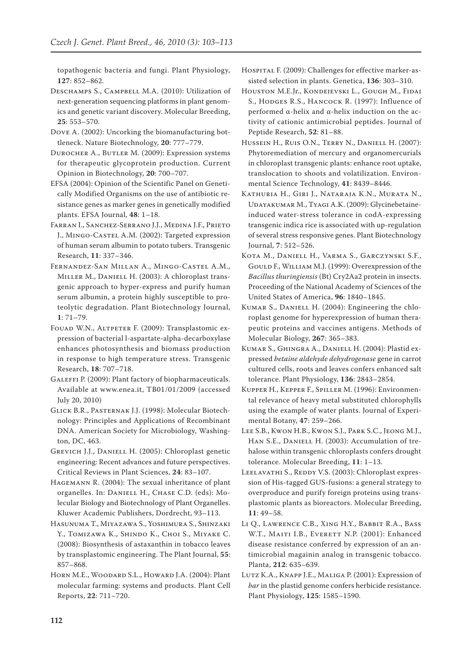topathogenic bacteria and fungi. Plant Physiology, **127**: 852–862.

- Deschamps S., Campbell M.A. (2010): Utilization of next-generation sequencing platforms in plant genomics and genetic variant discovery. Molecular Breeding, **25**: 553–570.
- Dove A. (2002): Uncorking the biomanufacturing bottleneck. Nature Biotechnology, **20**: 777–779.
- Durocher A., Butler M. (2009): Expression systems for therapeutic glycoprotein production. Current Opinion in Biotechnology, **20**: 700–707.
- EFSA (2004): Opinion of the Scientific Panel on Genetically Modified Organisms on the use of antibiotic resistance genes as marker genes in genetically modified plants. EFSA Journal, **48**: 1–18.
- Farran I., Sanchez-Serrano J.J., Medina J.F., Prieto J., Mingo-Castel A.M. (2002): Targeted expression of human serum albumin to potato tubers. Transgenic Research, **11**: 337–346.
- Fernandez-San Millan A., Mingo-Castel A.M., MILLER M., DANIELL H. (2003): A chloroplast transgenic approach to hyper-express and purify human serum albumin, a protein highly susceptible to proteolytic degradation. Plant Biotechnology Journal, **1**: 71–79.
- FOUAD W.N., ALTPETER F. (2009): Transplastomic expression of bacterial l-aspartate-alpha-decarboxylase enhances photosynthesis and biomass production in response to high temperature stress. Transgenic Research, **18**: 707–718.
- GALEFFI P. (2009): Plant factory of biopharmaceuticals. Available at www.enea.it, TB01/01/2009 (accessed July 20, 2010)
- Glick B.R., Pasternak J.J. (1998): Molecular Biotechnology: Principles and Applications of Recombinant DNA. American Society for Microbiology, Washington, DC, 463.
- Grevich J.J., Daniell H. (2005): Chloroplast genetic engineering: Recent advances and future perspectives. Critical Reviews in Plant Sciences, **24**: 83–107.
- Hagemann R. (2004): The sexual inheritance of plant organelles. In: Daniell H., Chase C.D. (eds): Molecular Biology and Biotechnology of Plant Organelles. Kluwer Academic Publishers, Dordrecht, 93–113.
- Hasunuma T., Miyazawa S., Yoshimura S., Shinzaki Y., Tomizawa K., Shindo K., Choi S., Miyake C. (2008): Biosynthesis of astaxanthin in tobacco leaves by transplastomic engineering. The Plant Journal, **55**: 857–868.
- Horn M.E., Woodard S.L., Howard J.A. (2004): Plant molecular farming: systems and products. Plant Cell Reports, **22**: 711–720.
- HOSPITAL F. (2009): Challenges for effective marker-assisted selection in plants. Genetica, **136**: 303–310.
- Houston M.E.Jr., Kondejevski L., Gough M., Fidai S., HODGES R.S., HANCOCK R. (1997): Influence of performed α-helix and α-helix induction on the activity of cationic antimicrobial peptides. Journal of Peptide Research, **52**: 81–88.
- Hussein H., Ruis O.N., Terry N., Daniell H. (2007): Phytoremediation of mercury and organomercurials in chloroplast transgenic plants: enhance root uptake, translocation to shoots and volatilization. Environmental Science Technology, **41**: 8439–8446.
- Kathuria H., Giri J., Nataraja K.N., Murata N., Udayakumar M., Tyagi A.K. (2009): Glycinebetaineinduced water-stress tolerance in codA-expressing transgenic indica rice is associated with up-regulation of several stress responsive genes. Plant Biotechnology Journal, **7**: 512–526.
- Kota M., Daniell H., Varma S., Garczynski S.F., Gould F., William M.J. (1999): Overexpression of the *Bacillus thuringiensis* (Bt) Cry2Aa2 protein in insects. Proceeding of the National Academy of Sciences of the United States of America, **96**: 1840–1845.
- KUMAR S., DANIELL H. (2004): Engineering the chloroplast genome for hyperexpression of human therapeutic proteins and vaccines antigens. Methods of Molecular Biology, **267**: 365–383.
- Kumar S., Ghingra A., Daniell H. (2004): Plastid expressed *betaine aldehyde dehydrogenase* gene in carrot cultured cells, roots and leaves confers enhanced salt tolerance. Plant Physiology, **136**: 2843–2854.
- Kupper H., Kepper F., Spiller M. (1996): Environmental relevance of heavy metal substituted chlorophylls using the example of water plants. Journal of Experimental Botany, **47**: 259–266.
- Lee S.B., Kwon H.B., Kwon S.J., Park S.C., Jeong M.J., HAN S.E., DANIELL H. (2003): Accumulation of trehalose within transgenic chloroplasts confers drought tolerance. Molecular Breeding, **11**: 1–13.
- LEELAVATHI S., REDDY V.S. (2003): Chloroplast expression of His-tagged GUS-fusions: a general strategy to overproduce and purify foreign proteins using transplastomic plants as bioreactors. Molecular Breeding, **11**: 49–58.
- Li Q., Lawrence C.B., Xing H.Y., Babbit R.A., Bass W.T., MAITI I.B., EVERETT N.P. (2001): Enhanced disease resistance conferred by expression of an antimicrobial magainin analog in transgenic tobacco. Planta, **212**: 635–639.
- Lutz K.A., Knapp J.E., Maliga P. (2001): Expression of *bar* in the plastid genome confers herbicide resistance. Plant Physiology, **125**: 1585–1590.